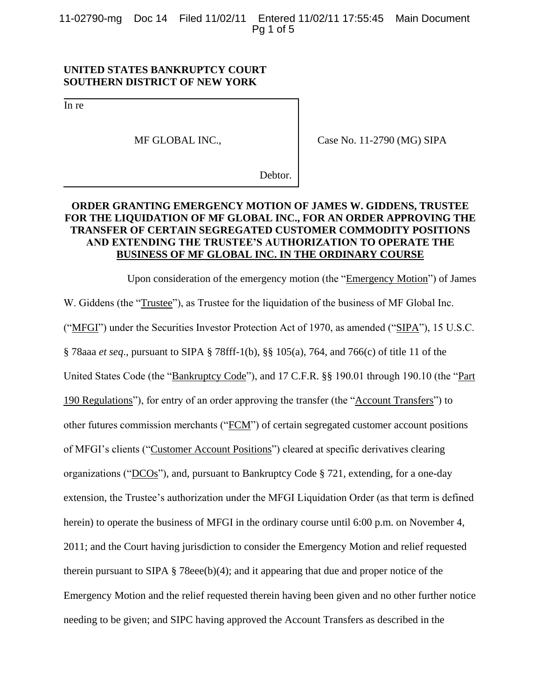11-02790-mg Doc 14 Filed 11/02/11 Entered 11/02/11 17:55:45 Main Document Pg 1 of 5

### **UNITED STATES BANKRUPTCY COURT SOUTHERN DISTRICT OF NEW YORK**

In re

MF GLOBAL INC.,

Case No. 11-2790 (MG) SIPA

Debtor.

# **ORDER GRANTING EMERGENCY MOTION OF JAMES W. GIDDENS, TRUSTEE FOR THE LIQUIDATION OF MF GLOBAL INC., FOR AN ORDER APPROVING THE TRANSFER OF CERTAIN SEGREGATED CUSTOMER COMMODITY POSITIONS AND EXTENDING THE TRUSTEE'S AUTHORIZATION TO OPERATE THE BUSINESS OF MF GLOBAL INC. IN THE ORDINARY COURSE**

Upon consideration of the emergency motion (the "Emergency Motion") of James W. Giddens (the "Trustee"), as Trustee for the liquidation of the business of MF Global Inc. ("MFGI") under the Securities Investor Protection Act of 1970, as amended ("SIPA"), 15 U.S.C. § 78aaa *et seq*., pursuant to SIPA § 78fff-1(b), §§ 105(a), 764, and 766(c) of title 11 of the United States Code (the "Bankruptcy Code"), and 17 C.F.R. §§ 190.01 through 190.10 (the "Part 190 Regulations"), for entry of an order approving the transfer (the "Account Transfers") to other futures commission merchants ("FCM") of certain segregated customer account positions of MFGI's clients ("Customer Account Positions") cleared at specific derivatives clearing organizations ("DCOs"), and, pursuant to Bankruptcy Code § 721, extending, for a one-day extension, the Trustee's authorization under the MFGI Liquidation Order (as that term is defined herein) to operate the business of MFGI in the ordinary course until 6:00 p.m. on November 4, 2011; and the Court having jurisdiction to consider the Emergency Motion and relief requested therein pursuant to SIPA  $\S$  78eee(b)(4); and it appearing that due and proper notice of the Emergency Motion and the relief requested therein having been given and no other further notice needing to be given; and SIPC having approved the Account Transfers as described in the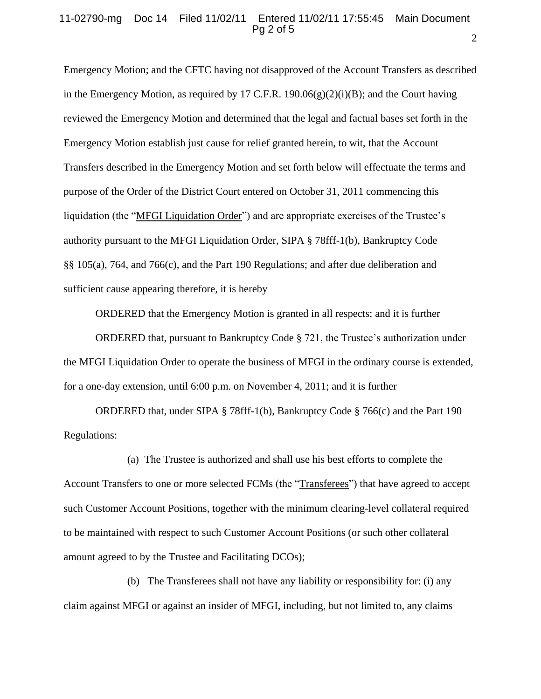#### 11-02790-mg Doc 14 Filed 11/02/11 Entered 11/02/11 17:55:45 Main Document Pg 2 of 5

Emergency Motion; and the CFTC having not disapproved of the Account Transfers as described in the Emergency Motion, as required by 17 C.F.R. 190.06 $(g)(2)(i)(B)$ ; and the Court having reviewed the Emergency Motion and determined that the legal and factual bases set forth in the Emergency Motion establish just cause for relief granted herein, to wit, that the Account Transfers described in the Emergency Motion and set forth below will effectuate the terms and purpose of the Order of the District Court entered on October 31, 2011 commencing this liquidation (the "MFGI Liquidation Order") and are appropriate exercises of the Trustee's authority pursuant to the MFGI Liquidation Order, SIPA § 78fff-1(b), Bankruptcy Code §§ 105(a), 764, and 766(c), and the Part 190 Regulations; and after due deliberation and sufficient cause appearing therefore, it is hereby

ORDERED that the Emergency Motion is granted in all respects; and it is further

ORDERED that, pursuant to Bankruptcy Code § 721, the Trustee's authorization under the MFGI Liquidation Order to operate the business of MFGI in the ordinary course is extended, for a one-day extension, until 6:00 p.m. on November 4, 2011; and it is further

ORDERED that, under SIPA § 78fff-1(b), Bankruptcy Code § 766(c) and the Part 190 Regulations:

(a) The Trustee is authorized and shall use his best efforts to complete the Account Transfers to one or more selected FCMs (the "Transferees") that have agreed to accept such Customer Account Positions, together with the minimum clearing-level collateral required to be maintained with respect to such Customer Account Positions (or such other collateral amount agreed to by the Trustee and Facilitating DCOs);

(b) The Transferees shall not have any liability or responsibility for: (i) any claim against MFGI or against an insider of MFGI, including, but not limited to, any claims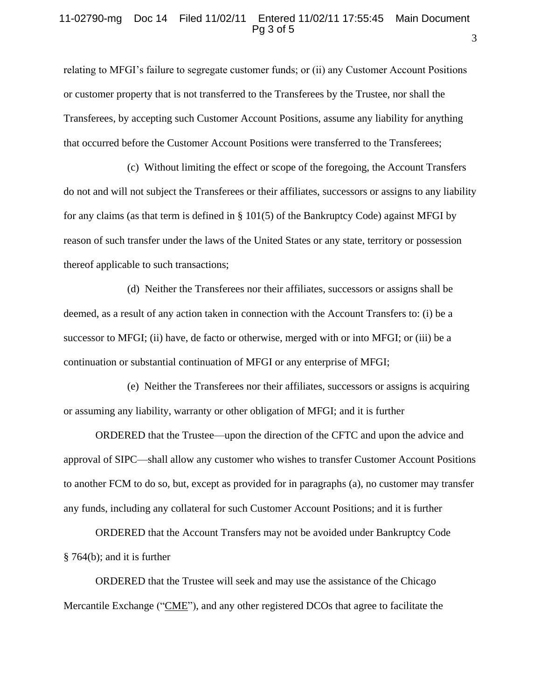#### 11-02790-mg Doc 14 Filed 11/02/11 Entered 11/02/11 17:55:45 Main Document Pg 3 of 5

relating to MFGI's failure to segregate customer funds; or (ii) any Customer Account Positions or customer property that is not transferred to the Transferees by the Trustee, nor shall the Transferees, by accepting such Customer Account Positions, assume any liability for anything that occurred before the Customer Account Positions were transferred to the Transferees;

(c) Without limiting the effect or scope of the foregoing, the Account Transfers do not and will not subject the Transferees or their affiliates, successors or assigns to any liability for any claims (as that term is defined in § 101(5) of the Bankruptcy Code) against MFGI by reason of such transfer under the laws of the United States or any state, territory or possession thereof applicable to such transactions;

(d) Neither the Transferees nor their affiliates, successors or assigns shall be deemed, as a result of any action taken in connection with the Account Transfers to: (i) be a successor to MFGI; (ii) have, de facto or otherwise, merged with or into MFGI; or (iii) be a continuation or substantial continuation of MFGI or any enterprise of MFGI;

(e) Neither the Transferees nor their affiliates, successors or assigns is acquiring or assuming any liability, warranty or other obligation of MFGI; and it is further

ORDERED that the Trustee—upon the direction of the CFTC and upon the advice and approval of SIPC—shall allow any customer who wishes to transfer Customer Account Positions to another FCM to do so, but, except as provided for in paragraphs (a), no customer may transfer any funds, including any collateral for such Customer Account Positions; and it is further

ORDERED that the Account Transfers may not be avoided under Bankruptcy Code § 764(b); and it is further

ORDERED that the Trustee will seek and may use the assistance of the Chicago Mercantile Exchange ("CME"), and any other registered DCOs that agree to facilitate the 3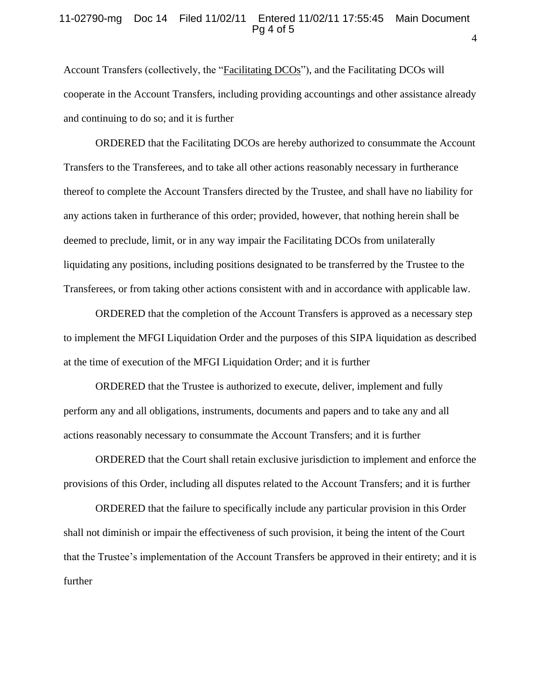#### 11-02790-mg Doc 14 Filed 11/02/11 Entered 11/02/11 17:55:45 Main Document Pg 4 of 5

Account Transfers (collectively, the "Facilitating DCOs"), and the Facilitating DCOs will cooperate in the Account Transfers, including providing accountings and other assistance already and continuing to do so; and it is further

ORDERED that the Facilitating DCOs are hereby authorized to consummate the Account Transfers to the Transferees, and to take all other actions reasonably necessary in furtherance thereof to complete the Account Transfers directed by the Trustee, and shall have no liability for any actions taken in furtherance of this order; provided, however, that nothing herein shall be deemed to preclude, limit, or in any way impair the Facilitating DCOs from unilaterally liquidating any positions, including positions designated to be transferred by the Trustee to the Transferees, or from taking other actions consistent with and in accordance with applicable law.

ORDERED that the completion of the Account Transfers is approved as a necessary step to implement the MFGI Liquidation Order and the purposes of this SIPA liquidation as described at the time of execution of the MFGI Liquidation Order; and it is further

ORDERED that the Trustee is authorized to execute, deliver, implement and fully perform any and all obligations, instruments, documents and papers and to take any and all actions reasonably necessary to consummate the Account Transfers; and it is further

ORDERED that the Court shall retain exclusive jurisdiction to implement and enforce the provisions of this Order, including all disputes related to the Account Transfers; and it is further

ORDERED that the failure to specifically include any particular provision in this Order shall not diminish or impair the effectiveness of such provision, it being the intent of the Court that the Trustee's implementation of the Account Transfers be approved in their entirety; and it is further